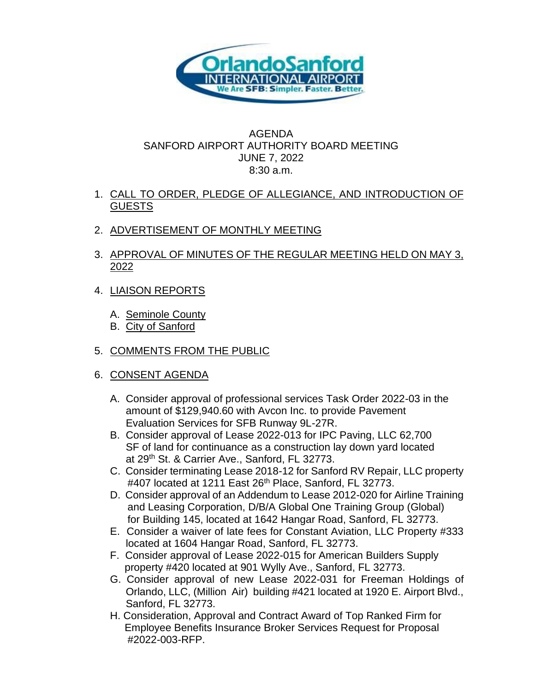

## AGENDA SANFORD AIRPORT AUTHORITY BOARD MEETING JUNE 7, 2022 8:30 a.m.

- 1. CALL TO ORDER, PLEDGE OF ALLEGIANCE, AND INTRODUCTION OF **GUESTS**
- 2. ADVERTISEMENT OF MONTHLY MEETING
- 3. APPROVAL OF MINUTES OF THE REGULAR MEETING HELD ON MAY 3, 2022
- 4. LIAISON REPORTS
	- A. Seminole County
	- B. City of Sanford
- 5. COMMENTS FROM THE PUBLIC
- 6. CONSENT AGENDA
	- A. Consider approval of professional services Task Order 2022-03 in the amount of \$129,940.60 with Avcon Inc. to provide Pavement Evaluation Services for SFB Runway 9L-27R.
	- B. Consider approval of Lease 2022-013 for IPC Paving, LLC 62,700 SF of land for continuance as a construction lay down yard located at 29th St. & Carrier Ave., Sanford, FL 32773.
	- C. Consider terminating Lease 2018-12 for Sanford RV Repair, LLC property #407 located at 1211 East 26th Place, Sanford, FL 32773.
	- D. Consider approval of an Addendum to Lease 2012-020 for Airline Training and Leasing Corporation, D/B/A Global One Training Group (Global) for Building 145, located at 1642 Hangar Road, Sanford, FL 32773.
	- E. Consider a waiver of late fees for Constant Aviation, LLC Property #333 located at 1604 Hangar Road, Sanford, FL 32773.
	- F. Consider approval of Lease 2022-015 for American Builders Supply property #420 located at 901 Wylly Ave., Sanford, FL 32773.
	- G. Consider approval of new Lease 2022-031 for Freeman Holdings of Orlando, LLC, (Million Air) building #421 located at 1920 E. Airport Blvd., Sanford, FL 32773.
	- H. Consideration, Approval and Contract Award of Top Ranked Firm for Employee Benefits Insurance Broker Services Request for Proposal #2022-003-RFP.